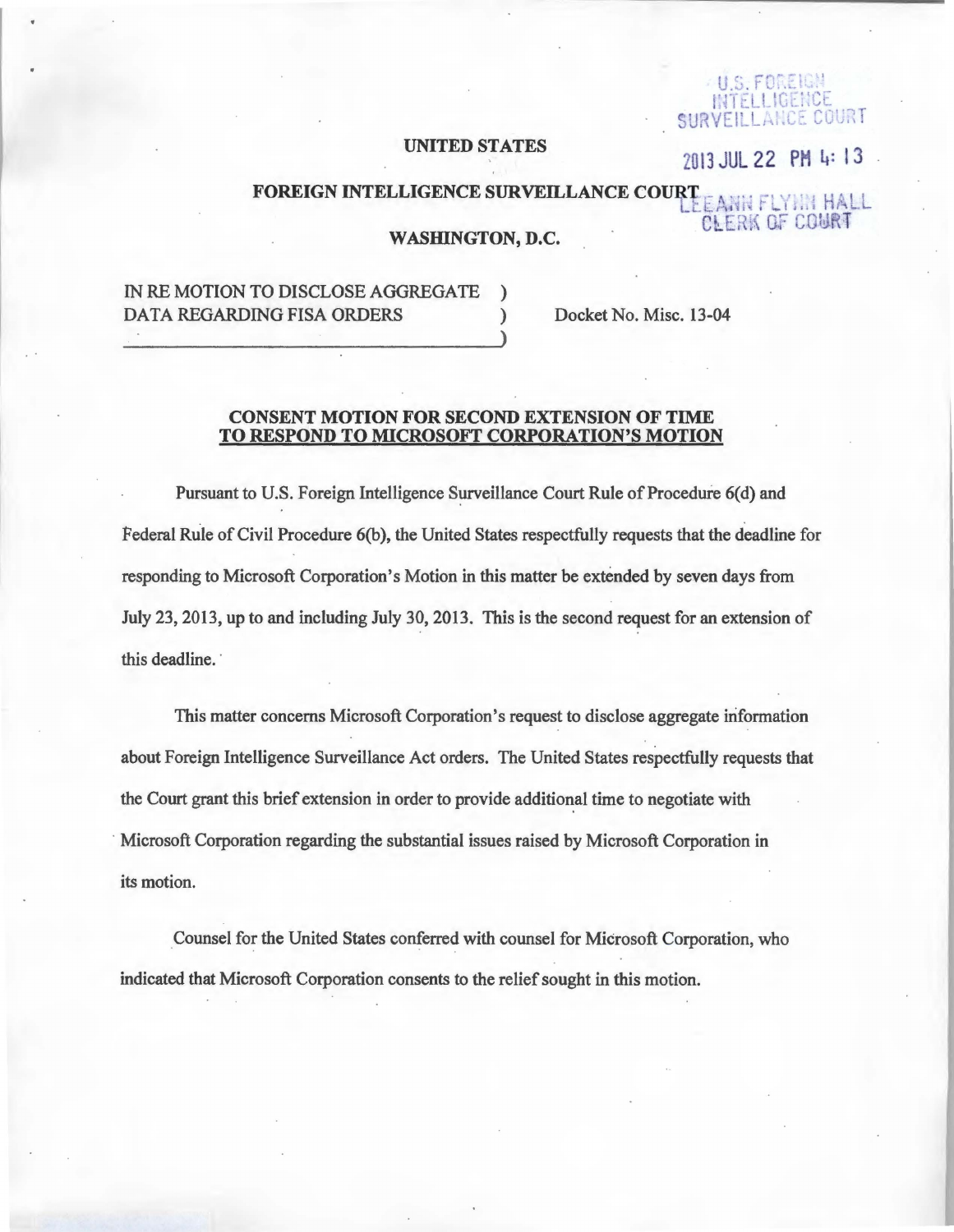#### **UNITED STATES**

INTELLIGENCE SURVEILLANCE COURT

## 2013 JUL 22 PM 4:13

# FOREIGN INTELLIGENCE SURVEILLANCE COURTE ANN FLYNN HALL **CLERK OF COURT**

#### **WASHINGTON, D.C.**

# IN RE MOTION TO DISCLOSE AGGREGATE **DATA REGARDING FISA ORDERS**

Docket No. Misc. 13-04

#### **CONSENT MOTION FOR SECOND EXTENSION OF TIME** TO RESPOND TO MICROSOFT CORPORATION'S MOTION

Pursuant to U.S. Foreign Intelligence Surveillance Court Rule of Procedure 6(d) and Federal Rule of Civil Procedure 6(b), the United States respectfully requests that the deadline for responding to Microsoft Corporation's Motion in this matter be extended by seven days from July 23, 2013, up to and including July 30, 2013. This is the second request for an extension of this deadline.

This matter concerns Microsoft Corporation's request to disclose aggregate information about Foreign Intelligence Surveillance Act orders. The United States respectfully requests that the Court grant this brief extension in order to provide additional time to negotiate with Microsoft Corporation regarding the substantial issues raised by Microsoft Corporation in its motion.

Counsel for the United States conferred with counsel for Microsoft Corporation, who indicated that Microsoft Corporation consents to the relief sought in this motion.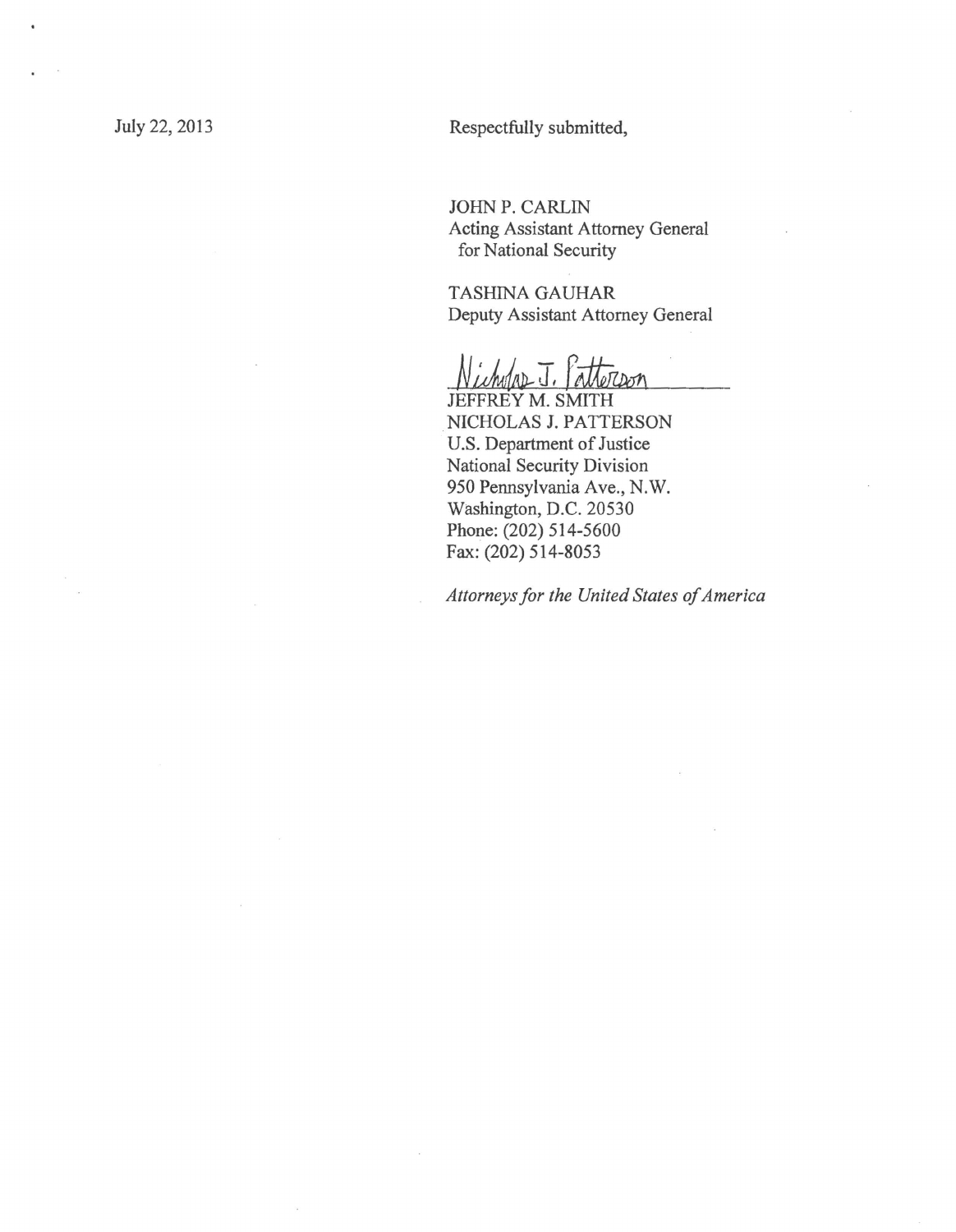July 22, 2013 Respectfully submitted,

JOHN P. CARLIN Acting Assistant Attorney General for National Security

TASHINA GAUHAR Deputy Assistant Attorney General

 $ADJ.$ 

JEFFREY M. SMITH NICHOLAS J. PATTERSON U.S. Department of Justice National Security Division 950 Pennsylvania Ave., N.W. Washington, D.C. 20530 Phone: (202) 514-5600 Fax: (202) 514-8053

*Attorneys for the United States of America*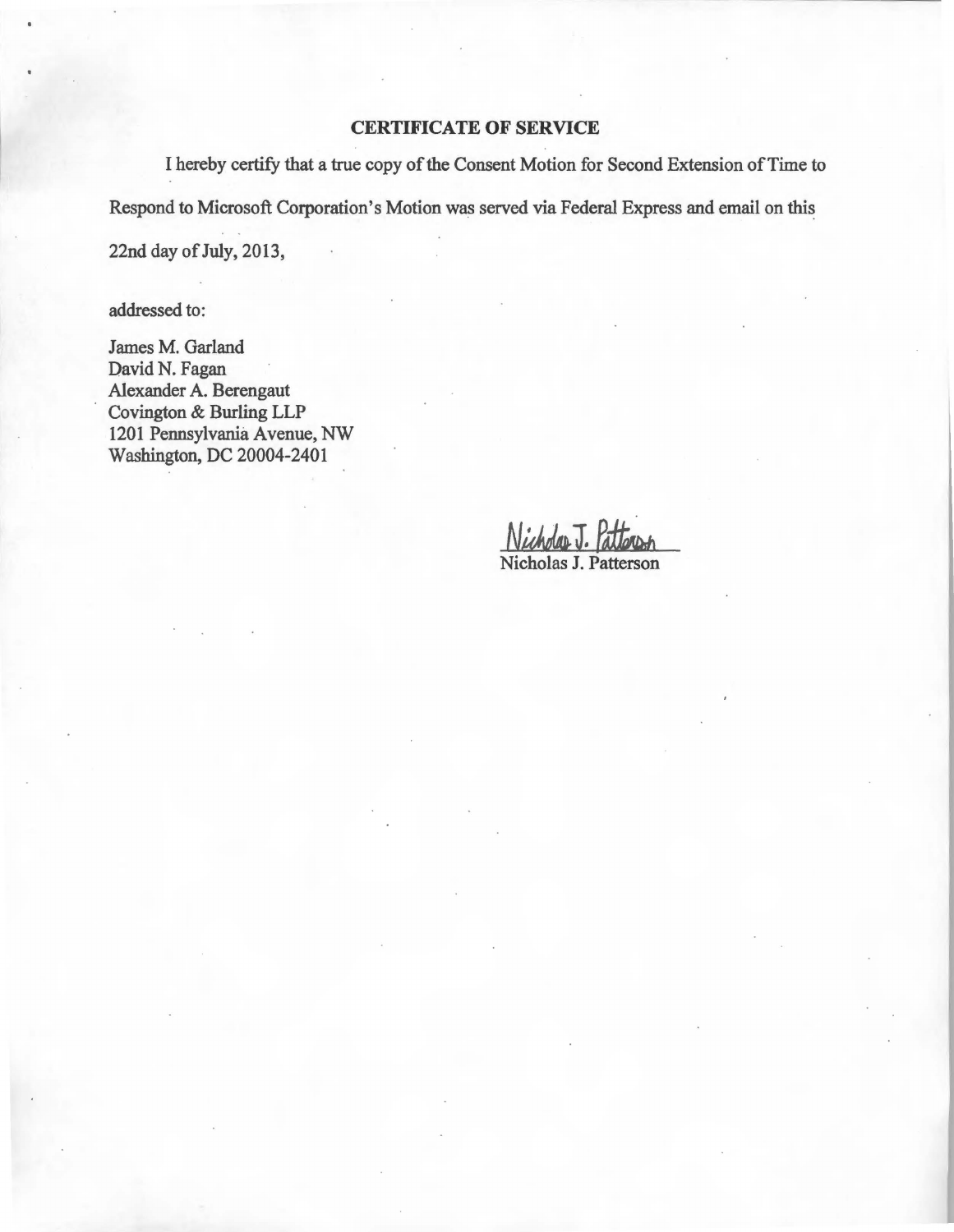## CERTIFICATE OF SERVICE

I hereby certify that a true copy of the Consent Motion for Second Extension of Time to Respond to Microsoft Corporation's Motion was served via Federal Express and email on this 22nd day of July, 2013,

addressed to:

James M. Garland David N. Fagan Alexander A. Berengaut Covington & Burling LLP 1201 Pennsylvania Avenue, NW Washington, DC 20004-2401

Nicholas J. Patterson